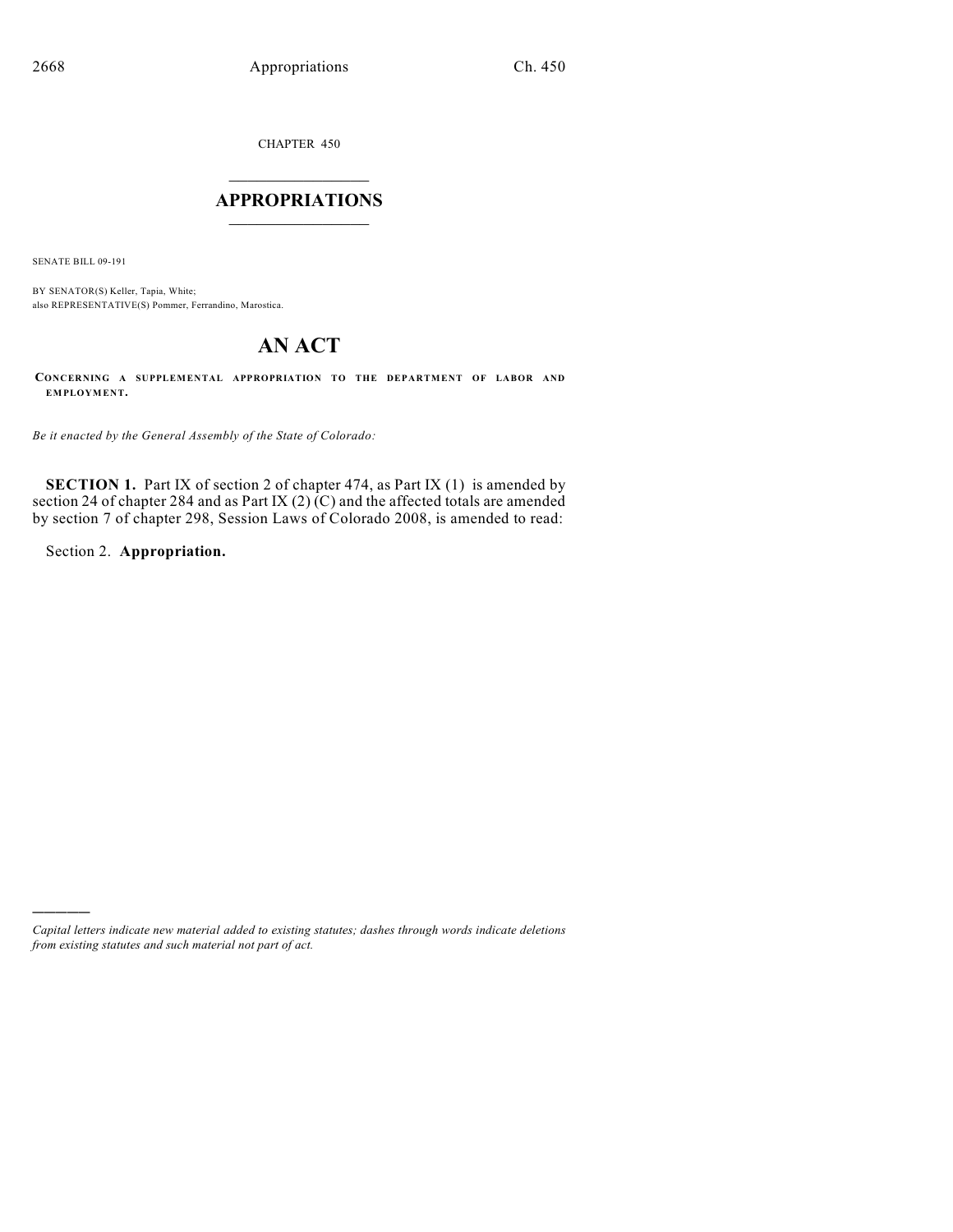CHAPTER 450

# $\overline{\phantom{a}}$  . The set of the set of the set of the set of the set of the set of the set of the set of the set of the set of the set of the set of the set of the set of the set of the set of the set of the set of the set o **APPROPRIATIONS**  $\_$   $\_$   $\_$   $\_$   $\_$   $\_$   $\_$   $\_$

SENATE BILL 09-191

BY SENATOR(S) Keller, Tapia, White; also REPRESENTATIVE(S) Pommer, Ferrandino, Marostica.

# **AN ACT**

**CONCERNING A SUPPLEMENTAL APPROPRIATION TO THE DEPARTMENT OF LABOR AND EMPLOYMENT.**

*Be it enacted by the General Assembly of the State of Colorado:*

**SECTION 1.** Part IX of section 2 of chapter 474, as Part IX (1) is amended by section 24 of chapter 284 and as Part IX (2) (C) and the affected totals are amended by section 7 of chapter 298, Session Laws of Colorado 2008, is amended to read:

Section 2. **Appropriation.**

)))))

*Capital letters indicate new material added to existing statutes; dashes through words indicate deletions from existing statutes and such material not part of act.*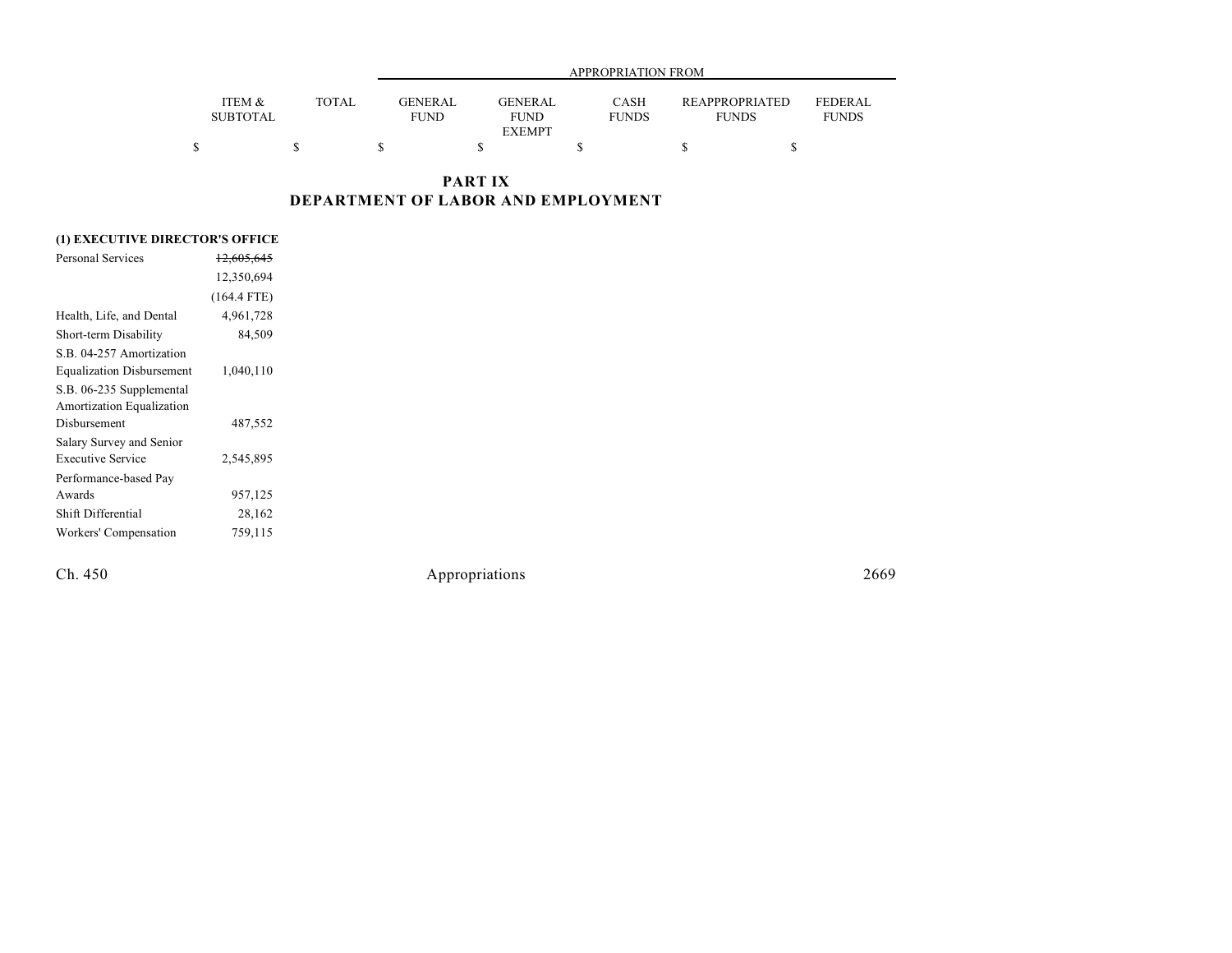|                           |              |                               | APPROPRIATION FROM            |                             |                                       |                                |
|---------------------------|--------------|-------------------------------|-------------------------------|-----------------------------|---------------------------------------|--------------------------------|
| ITEM &<br><b>SUBTOTAL</b> | <b>TOTAL</b> | <b>GENERAL</b><br><b>FUND</b> | <b>GENERAL</b><br><b>FUND</b> | <b>CASH</b><br><b>FUNDS</b> | <b>REAPPROPRIATED</b><br><b>FUNDS</b> | <b>FEDERAL</b><br><b>FUNDS</b> |
|                           |              |                               | <b>EXEMPT</b>                 |                             |                                       |                                |
|                           |              |                               |                               |                             |                                       |                                |

## **PART IX DEPARTMENT OF LABOR AND EMPLOYMENT**

### **(1) EXECUTIVE DIRECTOR'S OFFICE**

| Personal Services                | <del>12,605,645</del> |  |
|----------------------------------|-----------------------|--|
|                                  | 12,350,694            |  |
|                                  | $(164.4$ FTE)         |  |
| Health, Life, and Dental         | 4,961,728             |  |
| Short-term Disability            | 84,509                |  |
| S.B. 04-257 Amortization         |                       |  |
| <b>Equalization Disbursement</b> | 1,040,110             |  |
| S.B. 06-235 Supplemental         |                       |  |
| Amortization Equalization        |                       |  |
| Disbursement                     | 487,552               |  |
| Salary Survey and Senior         |                       |  |
| <b>Executive Service</b>         | 2,545,895             |  |
| Performance-based Pay            |                       |  |
| Awards                           | 957,125               |  |
| Shift Differential               | 28,162                |  |
| Workers' Compensation            | 759,115               |  |
|                                  |                       |  |

Ch. 450 Appropriations 2669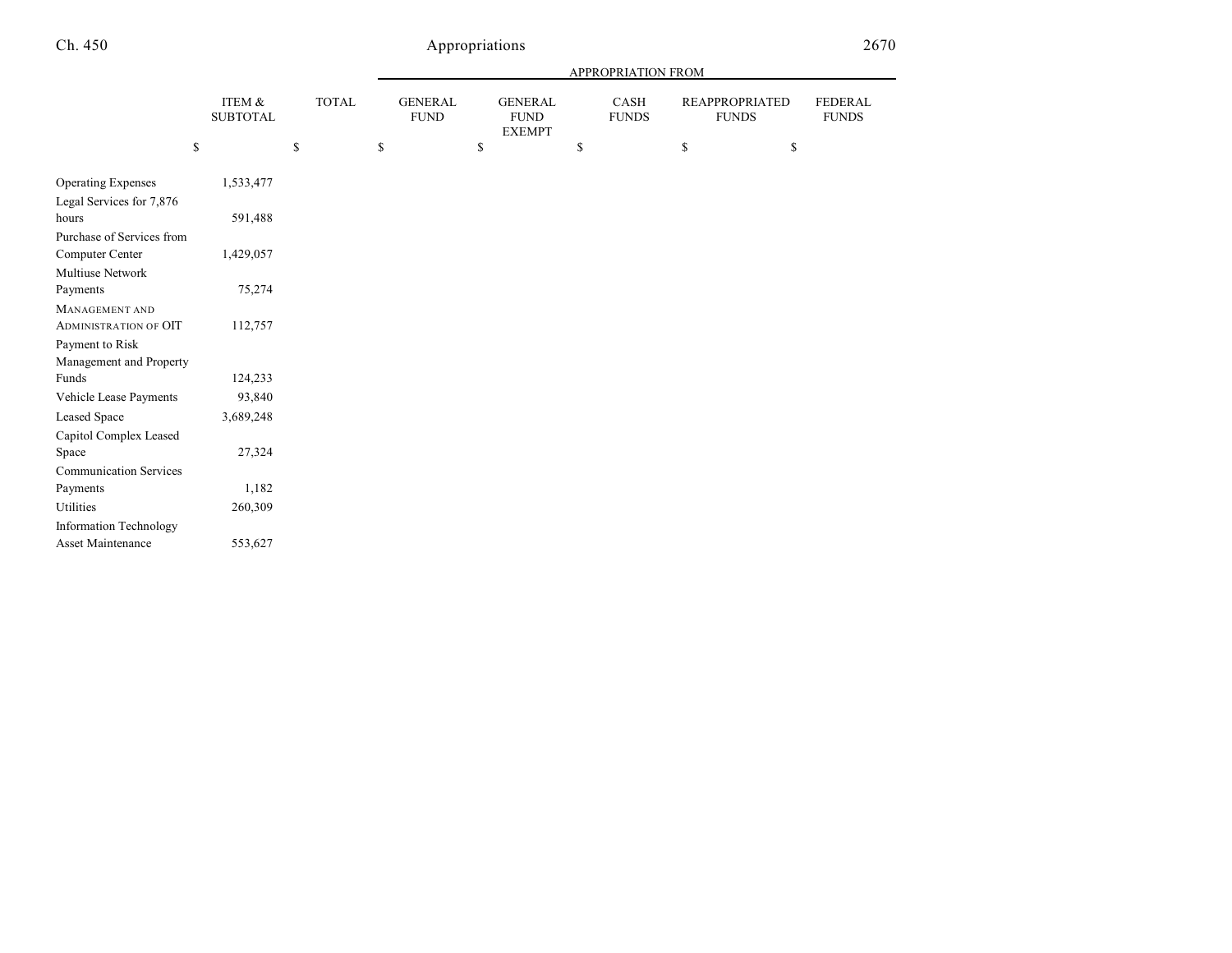|                               |                           |              | APPROPRIATION FROM |                               |    |                                                |                      |                                |                                |
|-------------------------------|---------------------------|--------------|--------------------|-------------------------------|----|------------------------------------------------|----------------------|--------------------------------|--------------------------------|
|                               | ITEM &<br><b>SUBTOTAL</b> | <b>TOTAL</b> |                    | <b>GENERAL</b><br><b>FUND</b> |    | <b>GENERAL</b><br><b>FUND</b><br><b>EXEMPT</b> | CASH<br><b>FUNDS</b> | REAPPROPRIATED<br><b>FUNDS</b> | <b>FEDERAL</b><br><b>FUNDS</b> |
|                               | \$                        | \$           | \$                 |                               | \$ |                                                | \$                   | \$<br>\$                       |                                |
| <b>Operating Expenses</b>     | 1,533,477                 |              |                    |                               |    |                                                |                      |                                |                                |
| Legal Services for 7,876      |                           |              |                    |                               |    |                                                |                      |                                |                                |
| hours                         | 591,488                   |              |                    |                               |    |                                                |                      |                                |                                |
| Purchase of Services from     |                           |              |                    |                               |    |                                                |                      |                                |                                |
| Computer Center               | 1,429,057                 |              |                    |                               |    |                                                |                      |                                |                                |
| Multiuse Network              |                           |              |                    |                               |    |                                                |                      |                                |                                |
| Payments                      | 75,274                    |              |                    |                               |    |                                                |                      |                                |                                |
| <b>MANAGEMENT AND</b>         |                           |              |                    |                               |    |                                                |                      |                                |                                |
| <b>ADMINISTRATION OF OIT</b>  | 112,757                   |              |                    |                               |    |                                                |                      |                                |                                |
| Payment to Risk               |                           |              |                    |                               |    |                                                |                      |                                |                                |
| Management and Property       |                           |              |                    |                               |    |                                                |                      |                                |                                |
| Funds                         | 124,233                   |              |                    |                               |    |                                                |                      |                                |                                |
| Vehicle Lease Payments        | 93,840                    |              |                    |                               |    |                                                |                      |                                |                                |
| Leased Space                  | 3,689,248                 |              |                    |                               |    |                                                |                      |                                |                                |
| Capitol Complex Leased        |                           |              |                    |                               |    |                                                |                      |                                |                                |
| Space                         | 27,324                    |              |                    |                               |    |                                                |                      |                                |                                |
| <b>Communication Services</b> |                           |              |                    |                               |    |                                                |                      |                                |                                |
| Payments                      | 1,182                     |              |                    |                               |    |                                                |                      |                                |                                |
| Utilities                     | 260,309                   |              |                    |                               |    |                                                |                      |                                |                                |
| <b>Information Technology</b> |                           |              |                    |                               |    |                                                |                      |                                |                                |
| Asset Maintenance             | 553,627                   |              |                    |                               |    |                                                |                      |                                |                                |
|                               |                           |              |                    |                               |    |                                                |                      |                                |                                |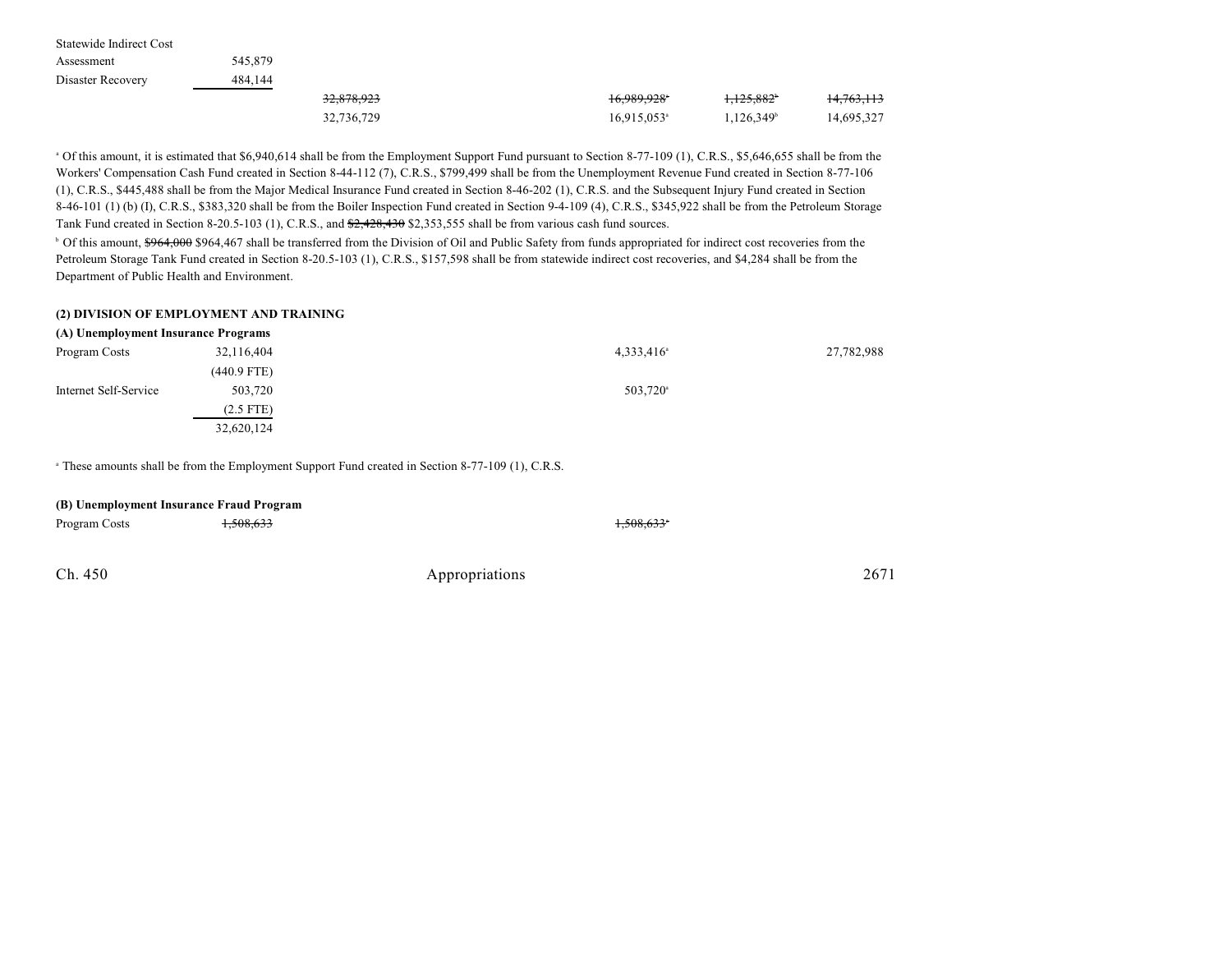| Statewide Indirect Cost |         |            |                           |                     |            |
|-------------------------|---------|------------|---------------------------|---------------------|------------|
| Assessment              | 545,879 |            |                           |                     |            |
| Disaster Recovery       | 484,144 |            |                           |                     |            |
|                         |         | 32,878,923 | 16,989,928 <sup>*</sup>   | $1.125.882^{\circ}$ | 14,763,113 |
|                         |         | 32,736,729 | $16,915,053$ <sup>a</sup> | $1,126,349^{\circ}$ | 14,695,327 |

<sup>a</sup> Of this amount, it is estimated that \$6,940,614 shall be from the Employment Support Fund pursuant to Section 8-77-109 (1), C.R.S., \$5,646,655 shall be from the Workers' Compensation Cash Fund created in Section 8-44-112 (7), C.R.S., \$799,499 shall be from the Unemployment Revenue Fund created in Section 8-77-106 (1), C.R.S., \$445,488 shall be from the Major Medical Insurance Fund created in Section 8-46-202 (1), C.R.S. and the Subsequent Injury Fund created in Section 8-46-101 (1) (b) (I), C.R.S., \$383,320 shall be from the Boiler Inspection Fund created in Section 9-4-109 (4), C.R.S., \$345,922 shall be from the Petroleum Storage Tank Fund created in Section 8-20.5-103 (1), C.R.S., and  $\frac{62,428,430}{2,353,555}$  shall be from various cash fund sources.

<sup>b</sup> Of this amount, \$964,000 \$964,467 shall be transferred from the Division of Oil and Public Safety from funds appropriated for indirect cost recoveries from the Petroleum Storage Tank Fund created in Section 8-20.5-103 (1), C.R.S., \$157,598 shall be from statewide indirect cost recoveries, and \$4,284 shall be from the Department of Public Health and Environment.

#### **(2) DIVISION OF EMPLOYMENT AND TRAINING**

| (A) Unemployment Insurance Programs |               |                          |            |  |
|-------------------------------------|---------------|--------------------------|------------|--|
| Program Costs                       | 32,116,404    | $4,333,416$ <sup>a</sup> | 27,782,988 |  |
|                                     | $(440.9$ FTE) |                          |            |  |
| Internet Self-Service               | 503,720       | 503,720 <sup>a</sup>     |            |  |
|                                     | $(2.5$ FTE)   |                          |            |  |
|                                     | 32,620,124    |                          |            |  |

<sup>a</sup> These amounts shall be from the Employment Support Fund created in Section 8-77-109 (1), C.R.S.

| Program Costs | <del>1,508,633</del> |                | 1,508,633 |      |
|---------------|----------------------|----------------|-----------|------|
|               |                      |                |           |      |
| Ch. 450       |                      | Appropriations |           | 2671 |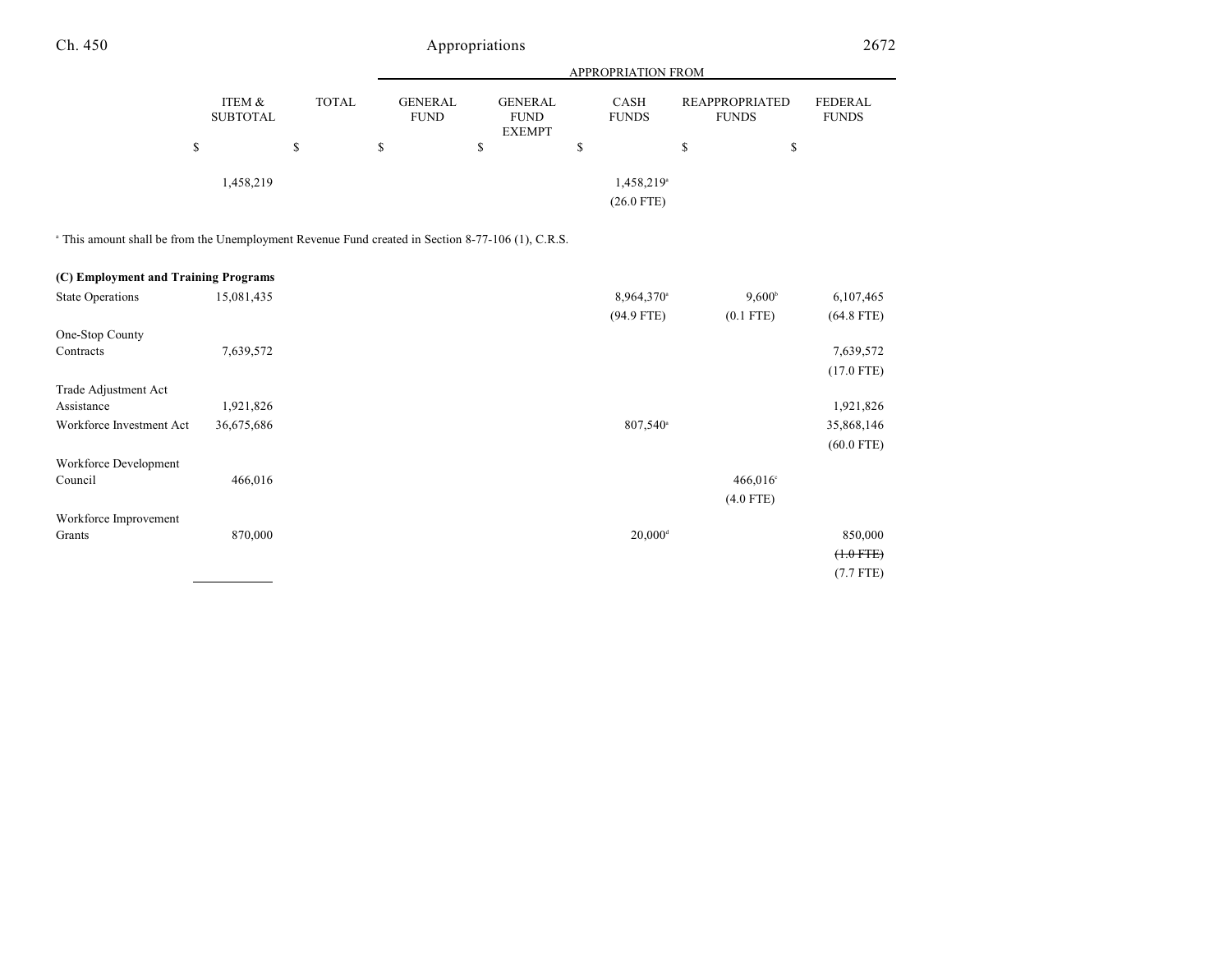|                           |              | <b>APPROPRIATION FROM</b>     |                                                |                                        |                                       |                         |
|---------------------------|--------------|-------------------------------|------------------------------------------------|----------------------------------------|---------------------------------------|-------------------------|
| ITEM &<br><b>SUBTOTAL</b> | <b>TOTAL</b> | <b>GENERAL</b><br><b>FUND</b> | <b>GENERAL</b><br><b>FUND</b><br><b>EXEMPT</b> | <b>CASH</b><br><b>FUNDS</b>            | <b>REAPPROPRIATED</b><br><b>FUNDS</b> | FEDERAL<br><b>FUNDS</b> |
| D                         | \$           | S                             | S                                              | S                                      | \$                                    | \$                      |
| 1,458,219                 |              |                               |                                                | 1,458,219 <sup>a</sup><br>$(26.0$ FTE) |                                       |                         |

<sup>a</sup> This amount shall be from the Unemployment Revenue Fund created in Section 8-77-106 (1), C.R.S.

| (C) Employment and Training Programs |            |                                           |                |
|--------------------------------------|------------|-------------------------------------------|----------------|
| <b>State Operations</b>              | 15,081,435 | $9,600^{\circ}$<br>8,964,370 <sup>a</sup> | 6,107,465      |
|                                      |            | $(94.9$ FTE)<br>$(0.1$ FTE)               | $(64.8$ FTE)   |
| One-Stop County                      |            |                                           |                |
| Contracts                            | 7,639,572  |                                           | 7,639,572      |
|                                      |            |                                           | $(17.0$ FTE)   |
| Trade Adjustment Act                 |            |                                           |                |
| Assistance                           | 1,921,826  |                                           | 1,921,826      |
| Workforce Investment Act             | 36,675,686 | 807,540 <sup>a</sup>                      | 35,868,146     |
|                                      |            |                                           | $(60.0$ FTE)   |
| Workforce Development                |            |                                           |                |
| Council                              | 466,016    | 466,016°                                  |                |
|                                      |            | $(4.0$ FTE)                               |                |
| Workforce Improvement                |            |                                           |                |
| Grants                               | 870,000    | $20,000$ <sup>d</sup>                     | 850,000        |
|                                      |            |                                           | $(+.0$ FTE $)$ |
|                                      |            |                                           | $(7.7$ FTE)    |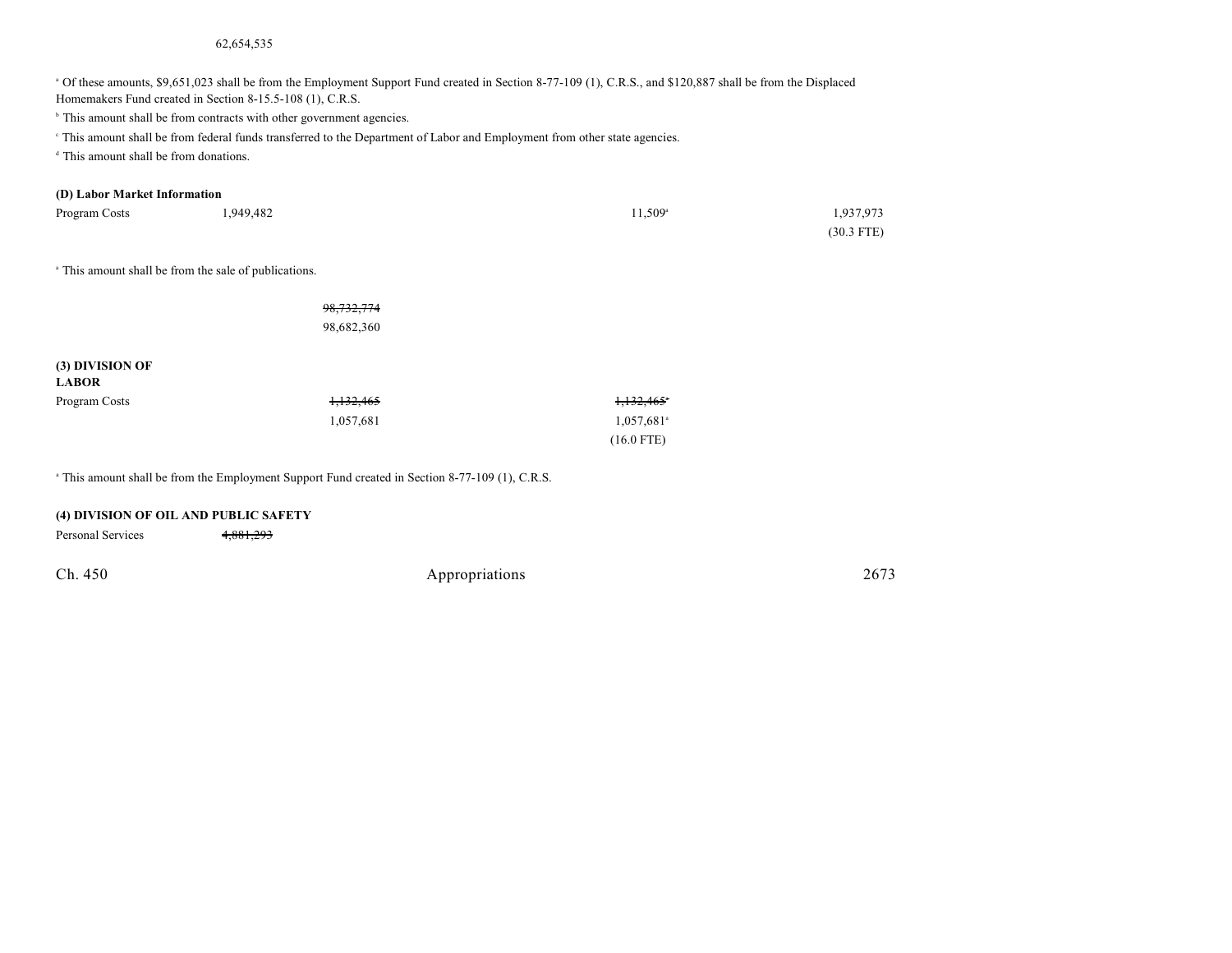#### 62,654,535

<sup>a</sup> Of these amounts, \$9,651,023 shall be from the Employment Support Fund created in Section 8-77-109 (1), C.R.S., and \$120,887 shall be from the Displaced Homemakers Fund created in Section 8-15.5-108 (1), C.R.S.

<sup>b</sup> This amount shall be from contracts with other government agencies.

This amount shall be from federal funds transferred to the Department of Labor and Employment from other state agencies.

 $d$  This amount shall be from donations.

#### **(D) Labor Market Information**

| Program Costs | 1,949,482 | $11.509$ <sup>a</sup> | 1,937,973    |
|---------------|-----------|-----------------------|--------------|
|               |           |                       | $(30.3$ FTE) |

<sup>a</sup> This amount shall be from the sale of publications.

|                 | 98, 732, 774 |                          |
|-----------------|--------------|--------------------------|
|                 | 98,682,360   |                          |
|                 |              |                          |
| (3) DIVISION OF |              |                          |
| <b>LABOR</b>    |              |                          |
| Program Costs   | 1,132,465    | 1,132,465                |
|                 | 1,057,681    | $1,057,681$ <sup>a</sup> |
|                 |              | $(16.0$ FTE)             |

<sup>a</sup> This amount shall be from the Employment Support Fund created in Section 8-77-109 (1), C.R.S.

#### **(4) DIVISION OF OIL AND PUBLIC SAFETY**

Personal Services 4,881,293

| Appropriations | 2673 |
|----------------|------|
|                |      |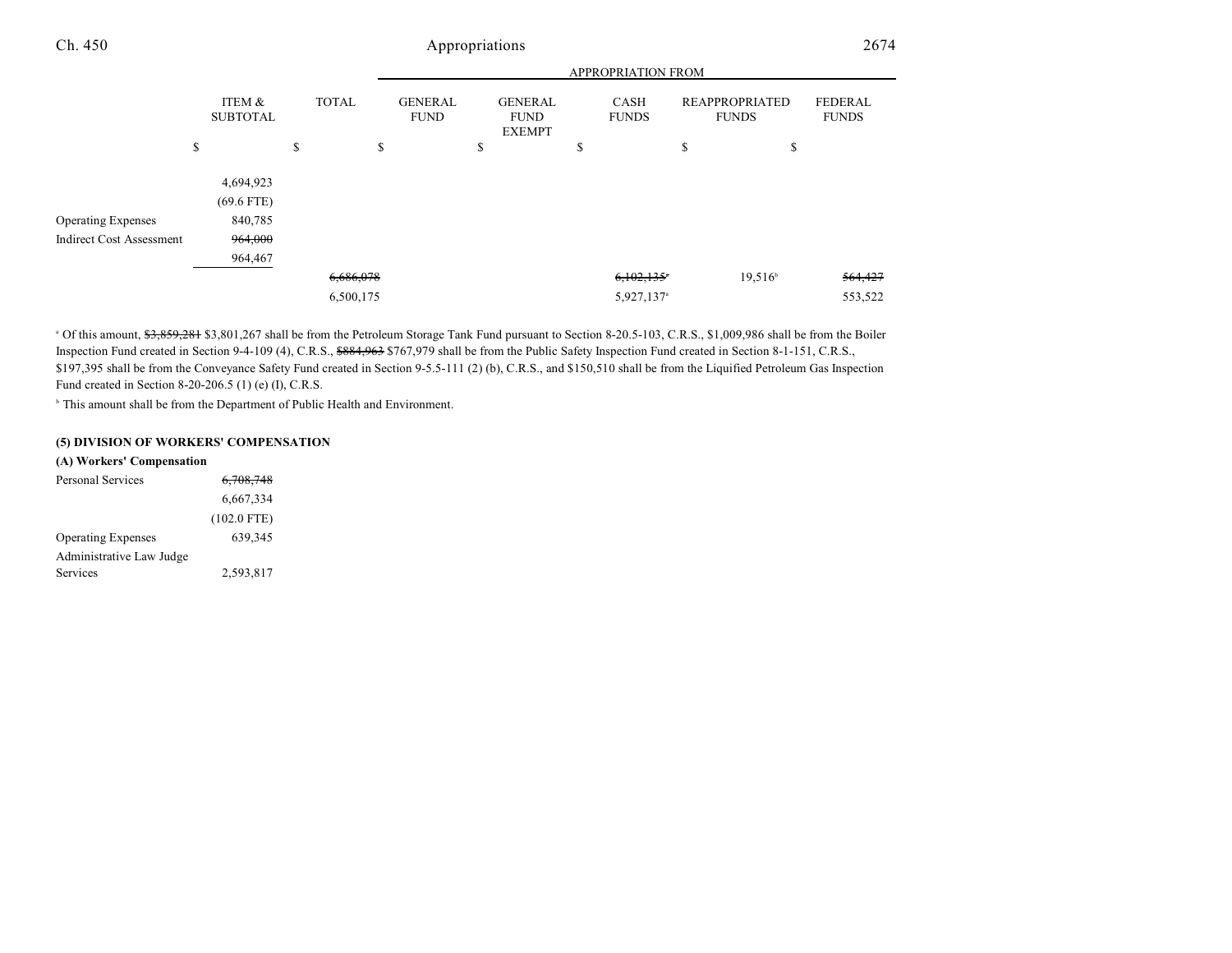|                                 |                           |              | <b>APPROPRIATION FROM</b>     |                                                |                             |                                |                                |  |
|---------------------------------|---------------------------|--------------|-------------------------------|------------------------------------------------|-----------------------------|--------------------------------|--------------------------------|--|
|                                 | ITEM &<br><b>SUBTOTAL</b> | <b>TOTAL</b> | <b>GENERAL</b><br><b>FUND</b> | <b>GENERAL</b><br><b>FUND</b><br><b>EXEMPT</b> | <b>CASH</b><br><b>FUNDS</b> | REAPPROPRIATED<br><b>FUNDS</b> | <b>FEDERAL</b><br><b>FUNDS</b> |  |
|                                 | \$                        | \$           | \$                            | \$                                             | \$                          | \$<br>\$                       |                                |  |
|                                 | 4,694,923<br>$(69.6$ FTE) |              |                               |                                                |                             |                                |                                |  |
| <b>Operating Expenses</b>       | 840,785                   |              |                               |                                                |                             |                                |                                |  |
| <b>Indirect Cost Assessment</b> | 964,000                   |              |                               |                                                |                             |                                |                                |  |
|                                 | 964,467                   |              |                               |                                                |                             |                                |                                |  |
|                                 |                           | 6,686,078    |                               |                                                | 6,102,135                   | $19,516^{\circ}$               | 564,427                        |  |
|                                 |                           | 6,500,175    |                               |                                                | 5,927,137 <sup>a</sup>      |                                | 553,522                        |  |

<sup>a</sup> Of this amount, \$3,859,281 \$3,801,267 shall be from the Petroleum Storage Tank Fund pursuant to Section 8-20.5-103, C.R.S., \$1,009,986 shall be from the Boiler Inspection Fund created in Section 9-4-109 (4), C.R.S., \$884,963 \$767,979 shall be from the Public Safety Inspection Fund created in Section 8-1-151, C.R.S., \$197,395 shall be from the Conveyance Safety Fund created in Section 9-5.5-111 (2) (b), C.R.S., and \$150,510 shall be from the Liquified Petroleum Gas Inspection Fund created in Section 8-20-206.5 (1) (e) (I), C.R.S.

<sup>b</sup> This amount shall be from the Department of Public Health and Environment.

#### **(5) DIVISION OF WORKERS' COMPENSATION**

#### **(A) Workers' Compensation**

| Personal Services         | 6,708,748     |
|---------------------------|---------------|
|                           | 6,667,334     |
|                           | $(102.0$ FTE) |
| <b>Operating Expenses</b> | 639.345       |
| Administrative Law Judge  |               |
| Services                  | 2,593,817     |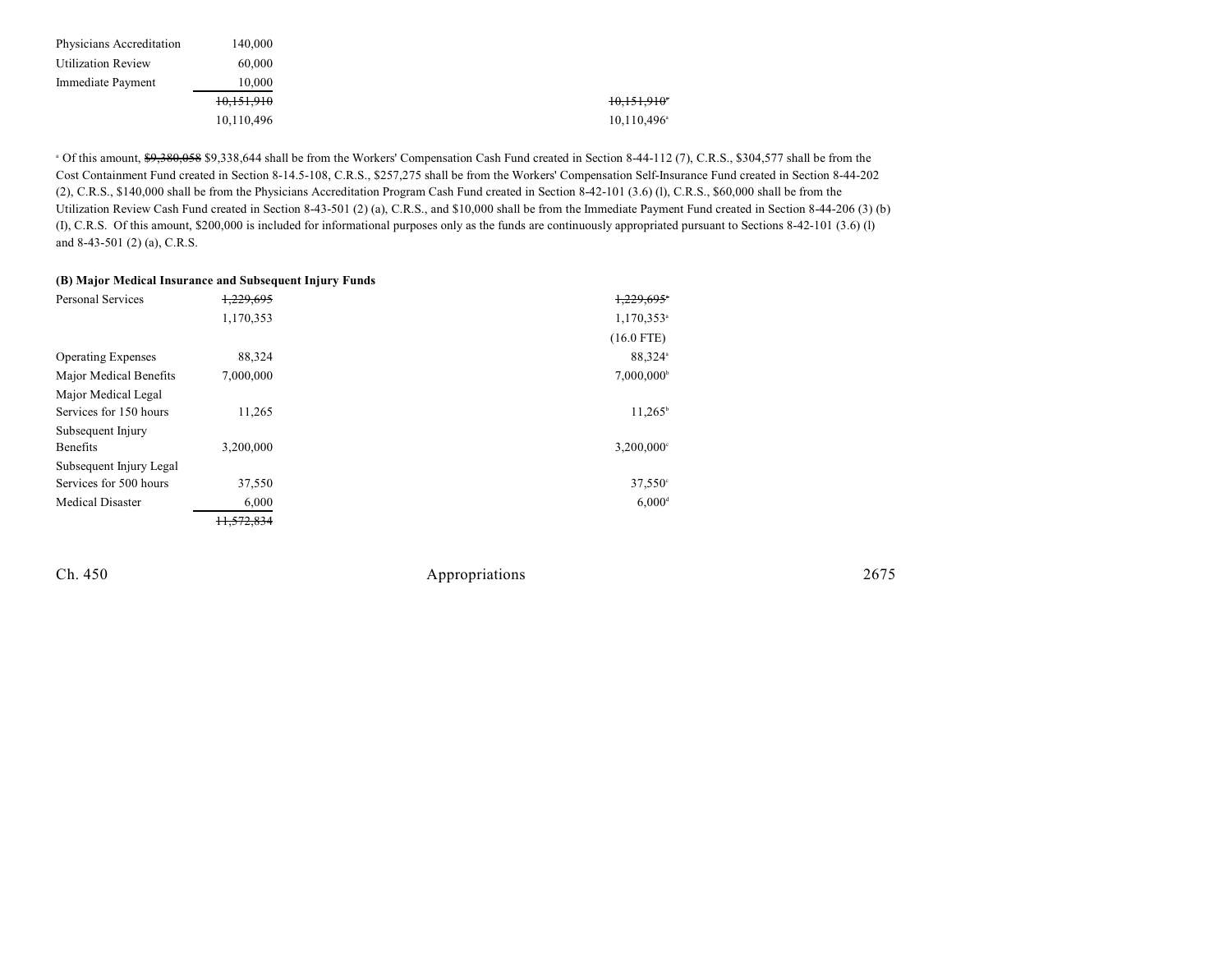| Physicians Accreditation  | 140.000    |                      |
|---------------------------|------------|----------------------|
| <b>Utilization Review</b> | 60,000     |                      |
| Immediate Payment         | 10.000     |                      |
|                           | 10,151,910 | 10,151,910           |
|                           | 10,110,496 | $10,110,496^{\circ}$ |

 $\degree$  Of this amount,  $\degree$ 9,380,058  $\degree$ 9,338,644 shall be from the Workers' Compensation Cash Fund created in Section 8-44-112 (7), C.R.S.,  $\degree$ 304,577 shall be from the Cost Containment Fund created in Section 8-14.5-108, C.R.S., \$257,275 shall be from the Workers' Compensation Self-Insurance Fund created in Section 8-44-202 (2), C.R.S., \$140,000 shall be from the Physicians Accreditation Program Cash Fund created in Section 8-42-101 (3.6) (l), C.R.S., \$60,000 shall be from the Utilization Review Cash Fund created in Section 8-43-501 (2) (a), C.R.S., and \$10,000 shall be from the Immediate Payment Fund created in Section 8-44-206 (3) (b) (I), C.R.S. Of this amount, \$200,000 is included for informational purposes only as the funds are continuously appropriated pursuant to Sections 8-42-101 (3.6) (l) and 8-43-501 (2) (a), C.R.S.

|                           | (B) Major Medical Insurance and Subsequent Injury Funds |                          |
|---------------------------|---------------------------------------------------------|--------------------------|
| <b>Personal Services</b>  | 1,229,695                                               | 1,229,695*               |
|                           | 1,170,353                                               | 1,170,353 <sup>a</sup>   |
|                           |                                                         | $(16.0$ FTE)             |
| <b>Operating Expenses</b> | 88,324                                                  | 88.324 <sup>a</sup>      |
| Major Medical Benefits    | 7,000,000                                               | $7,000,000^{\circ}$      |
| Major Medical Legal       |                                                         |                          |
| Services for 150 hours    | 11,265                                                  | $11.265^{\circ}$         |
| Subsequent Injury         |                                                         |                          |
| Benefits                  | 3,200,000                                               | $3,200,000$ <sup>c</sup> |
| Subsequent Injury Legal   |                                                         |                          |
| Services for 500 hours    | 37,550                                                  | $37,550^{\circ}$         |
| <b>Medical Disaster</b>   | 6,000                                                   | $6,000$ <sup>d</sup>     |
|                           | 11.572.834                                              |                          |

Ch. 450 Appropriations 2675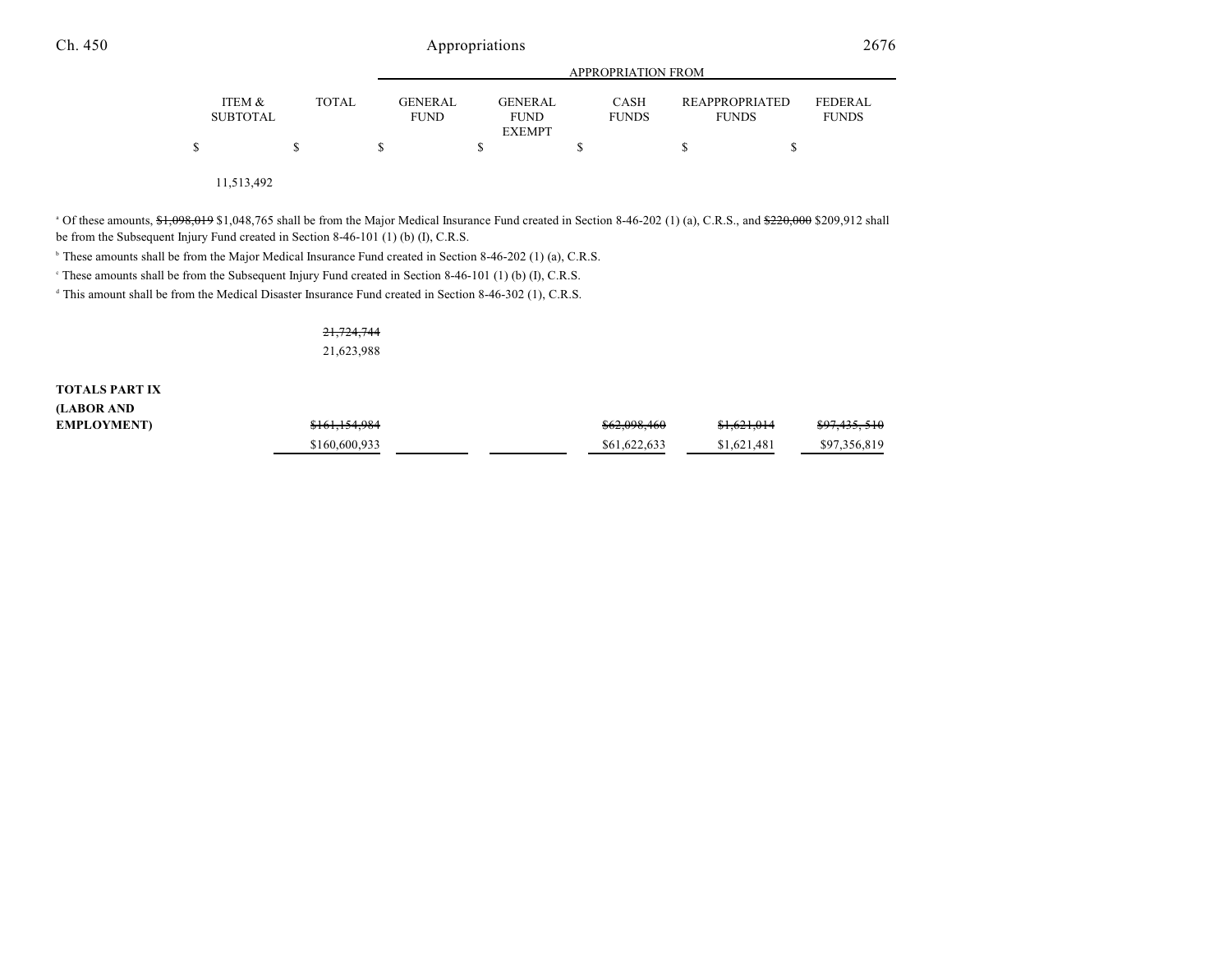|                           |              |                               | APPROPRIATION FROM                             |                             |                                       |                                |  |
|---------------------------|--------------|-------------------------------|------------------------------------------------|-----------------------------|---------------------------------------|--------------------------------|--|
| ITEM &<br><b>SUBTOTAL</b> | <b>TOTAL</b> | <b>GENERAL</b><br><b>FUND</b> | <b>GENERAL</b><br><b>FUND</b><br><b>EXEMPT</b> | <b>CASH</b><br><b>FUNDS</b> | <b>REAPPROPRIATED</b><br><b>FUNDS</b> | <b>FEDERAL</b><br><b>FUNDS</b> |  |
|                           |              |                               |                                                |                             | S                                     |                                |  |

11,513,492

<sup>a</sup> Of these amounts,  $\frac{1}{20}$ ,  $\frac{1}{20}$ ,  $\frac{1}{20}$ ,  $\frac{1}{20}$ ,  $\frac{1}{20}$ ,  $\frac{1}{20}$ ,  $\frac{1}{20}$ ,  $\frac{1}{20}$ ,  $\frac{1}{20}$ ,  $\frac{1}{20}$ ,  $\frac{1}{20}$ ,  $\frac{1}{20}$ ,  $\frac{1}{20}$ ,  $\frac{1}{20}$ ,  $\frac{1}{20}$ ,  $\frac{1}{20}$ ,  $\frac{1}{20$ 

be from the Subsequent Injury Fund created in Section 8-46-101 (1) (b) (I), C.R.S.

<sup>b</sup> These amounts shall be from the Major Medical Insurance Fund created in Section 8-46-202 (1) (a), C.R.S.

<sup>e</sup> These amounts shall be from the Subsequent Injury Fund created in Section 8-46-101 (1) (b) (I), C.R.S.

 $\text{This amount shall be from the Medical Disaster Insurance Fund created in Section 8-46-302 (1), C.R.S.}$ 

21,724,744 21,623,988

**TOTALS PART IX (LABOR AND**  $EMPLOYMENT$ 

| \$161,154,984 |  | \$62,098,460 | \$1,621,014 | <del>\$97,435, 510</del> |
|---------------|--|--------------|-------------|--------------------------|
| \$160,600,933 |  | \$61,622,633 | \$1,621,481 | \$97,356,819             |